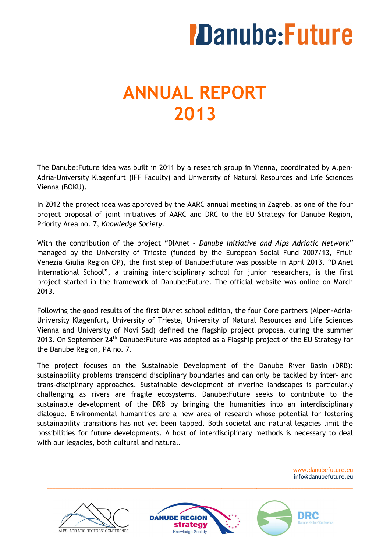# **ANNUAL REPORT 2013**

The Danube:Future idea was built in 2011 by a research group in Vienna, coordinated by Alpen-Adria-University Klagenfurt (IFF Faculty) and University of Natural Resources and Life Sciences Vienna (BOKU).

In 2012 the project idea was approved by the AARC annual meeting in Zagreb, as one of the four project proposal of joint initiatives of AARC and DRC to the EU Strategy for Danube Region, Priority Area no. 7, *Knowledge Society*.

With the contribution of the project "DIAnet – *Danube Initiative and Alps Adriatic Network"*  managed by the University of Trieste (funded by the European Social Fund 2007/13, Friuli Venezia Giulia Region OP), the first step of Danube:Future was possible in April 2013. "DIAnet International School", a training interdisciplinary school for junior researchers, is the first project started in the framework of Danube:Future. The official website was online on March 2013.

Following the good results of the first DIAnet school edition, the four Core partners (Alpen-Adria-University Klagenfurt, University of Trieste, University of Natural Resources and Life Sciences Vienna and University of Novi Sad) defined the flagship project proposal during the summer 2013. On September 24<sup>th</sup> Danube: Future was adopted as a Flagship project of the EU Strategy for the Danube Region, PA no. 7.

The project focuses on the Sustainable Development of the Danube River Basin (DRB): sustainability problems transcend disciplinary boundaries and can only be tackled by inter- and trans-disciplinary approaches. Sustainable development of riverine landscapes is particularly challenging as rivers are fragile ecosystems. Danube:Future seeks to contribute to the sustainable development of the DRB by bringing the humanities into an interdisciplinary dialogue. Environmental humanities are a new area of research whose potential for fostering sustainability transitions has not yet been tapped. Both societal and natural legacies limit the possibilities for future developments. A host of interdisciplinary methods is necessary to deal with our legacies, both cultural and natural.

> www.danubefuture.eu info@danubefuture.eu





\_\_\_\_\_\_\_\_\_\_\_\_\_\_\_\_\_\_\_\_\_\_\_\_\_\_\_\_\_\_\_\_\_\_\_\_\_\_\_\_\_\_\_\_\_\_\_\_\_\_\_\_\_\_\_\_\_\_\_\_\_\_\_\_\_\_\_\_\_\_\_\_\_\_\_\_\_\_\_\_\_\_\_\_\_\_\_\_\_\_\_\_\_\_\_\_\_\_\_\_\_\_\_\_\_

DRC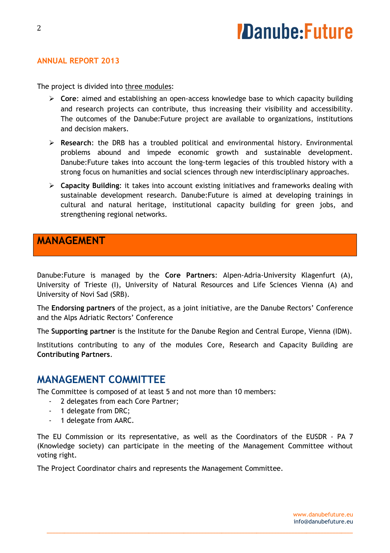#### **ANNUAL REPORT 2013**

The project is divided into three modules:

- **Core**: aimed and establishing an open-access knowledge base to which capacity building and research projects can contribute, thus increasing their visibility and accessibility. The outcomes of the Danube:Future project are available to organizations, institutions and decision makers.
- **Research**: the DRB has a troubled political and environmental history. Environmental problems abound and impede economic growth and sustainable development. Danube:Future takes into account the long-term legacies of this troubled history with a strong focus on humanities and social sciences through new interdisciplinary approaches.
- **Capacity Building**: it takes into account existing initiatives and frameworks dealing with sustainable development research. Danube:Future is aimed at developing trainings in cultural and natural heritage, institutional capacity building for green jobs, and strengthening regional networks.

### **MANAGEMENT**

Danube:Future is managed by the **Core Partners**: Alpen-Adria-University Klagenfurt (A), University of Trieste (I), University of Natural Resources and Life Sciences Vienna (A) and University of Novi Sad (SRB).

The **Endorsing partners** of the project, as a joint initiative, are the Danube Rectors' Conference and the Alps Adriatic Rectors' Conference

The **Supporting partner** is the Institute for the Danube Region and Central Europe, Vienna (IDM).

Institutions contributing to any of the modules Core, Research and Capacity Building are **Contributing Partners**.

### **MANAGEMENT COMMITTEE**

The Committee is composed of at least 5 and not more than 10 members:

- 2 delegates from each Core Partner;
- 1 delegate from DRC;
- 1 delegate from AARC.

The EU Commission or its representative, as well as the Coordinators of the EUSDR - PA 7 (Knowledge society) can participate in the meeting of the Management Committee without voting right.

\_\_\_\_\_\_\_\_\_\_\_\_\_\_\_\_\_\_\_\_\_\_\_\_\_\_\_\_\_\_\_\_\_\_\_\_\_\_\_\_\_\_\_\_\_\_\_\_\_\_\_\_\_\_\_\_\_\_\_\_\_\_\_\_\_\_\_\_\_\_\_\_\_\_\_\_\_\_\_\_\_\_\_\_\_\_\_\_\_\_\_\_\_\_\_\_\_\_\_\_\_\_\_\_\_

The Project Coordinator chairs and represents the Management Committee.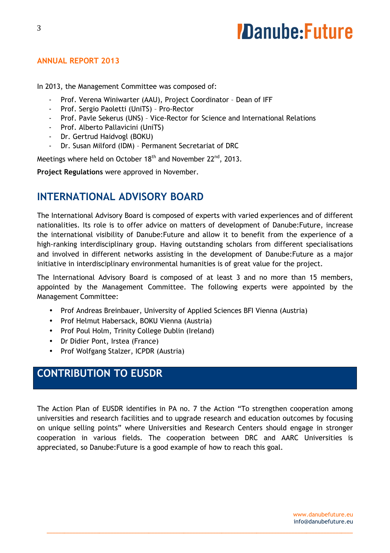#### **ANNUAL REPORT 2013**

In 2013, the Management Committee was composed of:

- Prof. Verena Winiwarter (AAU), Project Coordinator Dean of IFF
- Prof. Sergio Paoletti (UniTS) Pro-Rector
- Prof. Pavle Sekerus (UNS) Vice-Rector for Science and International Relations
- Prof. Alberto Pallavicini (UniTS)
- Dr. Gertrud Haidvogl (BOKU)
- Dr. Susan Milford (IDM) Permanent Secretariat of DRC

Meetings where held on October 18<sup>th</sup> and November 22<sup>nd</sup>, 2013.

**Project Regulations** were approved in November.

### **INTERNATIONAL ADVISORY BOARD**

The International Advisory Board is composed of experts with varied experiences and of different nationalities. Its role is to offer advice on matters of development of Danube:Future, increase the international visibility of Danube:Future and allow it to benefit from the experience of a high-ranking interdisciplinary group. Having outstanding scholars from different specialisations and involved in different networks assisting in the development of Danube:Future as a major initiative in interdisciplinary environmental humanities is of great value for the project.

The International Advisory Board is composed of at least 3 and no more than 15 members, appointed by the Management Committee. The following experts were appointed by the Management Committee:

- Prof Andreas Breinbauer, University of Applied Sciences BFI Vienna (Austria)
- Prof Helmut Habersack, BOKU Vienna (Austria)
- Prof Poul Holm, Trinity College Dublin (Ireland)
- Dr Didier Pont, Irstea (France)
- Prof Wolfgang Stalzer, ICPDR (Austria)

# **CONTRIBUTION TO EUSDR**

The Action Plan of EUSDR identifies in PA no. 7 the Action "To strengthen cooperation among universities and research facilities and to upgrade research and education outcomes by focusing on unique selling points" where Universities and Research Centers should engage in stronger cooperation in various fields. The cooperation between DRC and AARC Universities is appreciated, so Danube:Future is a good example of how to reach this goal.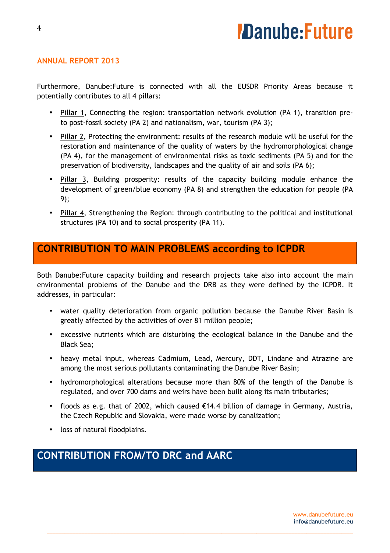#### **ANNUAL REPORT 2013**

Furthermore, Danube:Future is connected with all the EUSDR Priority Areas because it potentially contributes to all 4 pillars:

- Pillar 1, Connecting the region: transportation network evolution (PA 1), transition preto post-fossil society (PA 2) and nationalism, war, tourism (PA 3);
- Pillar 2, Protecting the environment: results of the research module will be useful for the restoration and maintenance of the quality of waters by the hydromorphological change (PA 4), for the management of environmental risks as toxic sediments (PA 5) and for the preservation of biodiversity, landscapes and the quality of air and soils (PA 6);
- Pillar 3, Building prosperity: results of the capacity building module enhance the development of green/blue economy (PA 8) and strengthen the education for people (PA 9);
- Pillar 4, Strengthening the Region: through contributing to the political and institutional structures (PA 10) and to social prosperity (PA 11).

### **CONTRIBUTION TO MAIN PROBLEMS according to ICPDR**

Both Danube:Future capacity building and research projects take also into account the main environmental problems of the Danube and the DRB as they were defined by the ICPDR. It addresses, in particular:

- water quality deterioration from organic pollution because the Danube River Basin is greatly affected by the activities of over 81 million people;
- excessive nutrients which are disturbing the ecological balance in the Danube and the Black Sea;
- heavy metal input, whereas Cadmium, Lead, Mercury, DDT, Lindane and Atrazine are among the most serious pollutants contaminating the Danube River Basin;
- hydromorphological alterations because more than 80% of the length of the Danube is regulated, and over 700 dams and weirs have been built along its main tributaries;
- floods as e.g. that of 2002, which caused €14.4 billion of damage in Germany, Austria, the Czech Republic and Slovakia, were made worse by canalization;

\_\_\_\_\_\_\_\_\_\_\_\_\_\_\_\_\_\_\_\_\_\_\_\_\_\_\_\_\_\_\_\_\_\_\_\_\_\_\_\_\_\_\_\_\_\_\_\_\_\_\_\_\_\_\_\_\_\_\_\_\_\_\_\_\_\_\_\_\_\_\_\_\_\_\_\_\_\_\_\_\_\_\_\_\_\_\_\_\_\_\_\_\_\_\_\_\_\_\_\_\_\_\_\_\_

• loss of natural floodplains.

# **CONTRIBUTION FROM/TO DRC and AARC**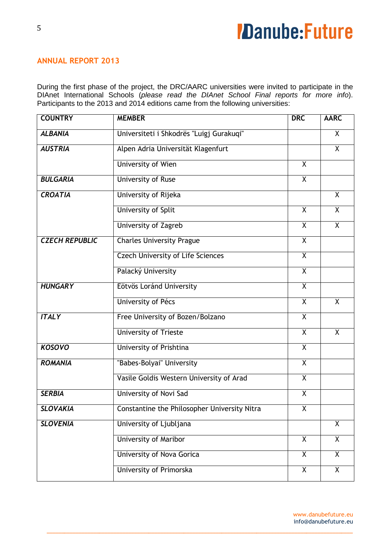#### **ANNUAL REPORT 2013**

During the first phase of the project, the DRC/AARC universities were invited to participate in the DIAnet International Schools (please read the DIAnet School Final reports for more info). Participants to the 2013 and 2014 editions came from the following universities:

| <b>COUNTRY</b>        | <b>MEMBER</b>                                       | <b>DRC</b>              | <b>AARC</b>             |
|-----------------------|-----------------------------------------------------|-------------------------|-------------------------|
| <b>ALBANIA</b>        | Universiteti i Shkodrës "Luigj Gurakuqi"            |                         | X                       |
| <b>AUSTRIA</b>        | Alpen Adria Universität Klagenfurt                  |                         | $\overline{X}$          |
|                       | <b>University of Wien</b>                           | $\overline{X}$          |                         |
| <b>BULGARIA</b>       | <b>University of Ruse</b>                           | $\overline{\mathsf{X}}$ |                         |
| <b>CROATIA</b>        | University of Rijeka                                |                         | $\overline{X}$          |
|                       | <b>University of Split</b>                          | $\overline{\mathsf{x}}$ | $\overline{X}$          |
|                       | University of Zagreb                                | $\overline{X}$          | $\overline{X}$          |
| <b>CZECH REPUBLIC</b> | <b>Charles University Prague</b>                    | $\overline{X}$          |                         |
|                       | <b>Czech University of Life Sciences</b>            | $\overline{X}$          |                         |
|                       | Palacký University                                  | $\overline{X}$          |                         |
| <b>HUNGARY</b>        | Eötvös Loránd University                            | $\overline{X}$          |                         |
|                       | University of Pécs                                  | $\overline{X}$          | $\overline{X}$          |
| <b>ITALY</b>          | Free University of Bozen/Bolzano                    | $\overline{X}$          |                         |
|                       | <b>University of Trieste</b>                        | $\overline{X}$          | $\mathsf{X}$            |
| <b>KOSOVO</b>         | University of Prishtina                             | $\overline{X}$          |                         |
| <b>ROMANIA</b>        | "Babes-Bolyai" University                           | $\overline{X}$          |                         |
|                       | Vasile Goldis Western University of Arad            | $\overline{X}$          |                         |
| <b>SERBIA</b>         | University of Novi Sad                              | $\overline{\mathsf{x}}$ |                         |
| <b>SLOVAKIA</b>       | <b>Constantine the Philosopher University Nitra</b> | $\overline{\mathsf{X}}$ |                         |
| <b>SLOVENIA</b>       | University of Ljubljana                             |                         | $\overline{X}$          |
|                       | <b>University of Maribor</b>                        | $\overline{X}$          | $\overline{\mathsf{x}}$ |
|                       | University of Nova Gorica                           | $\overline{X}$          | $\mathsf{X}$            |
|                       | University of Primorska                             | $\overline{X}$          | X                       |

\_\_\_\_\_\_\_\_\_\_\_\_\_\_\_\_\_\_\_\_\_\_\_\_\_\_\_\_\_\_\_\_\_\_\_\_\_\_\_\_\_\_\_\_\_\_\_\_\_\_\_\_\_\_\_\_\_\_\_\_\_\_\_\_\_\_\_\_\_\_\_\_\_\_\_\_\_\_\_\_\_\_\_\_\_\_\_\_\_\_\_\_\_\_\_\_\_\_\_\_\_\_\_\_\_

www.danubefuture.eu info@danubefuture.eu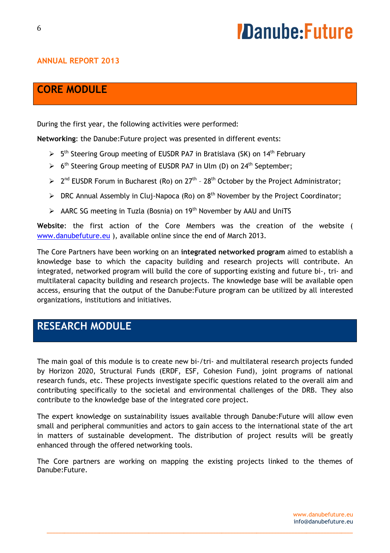#### **ANNUAL REPORT 2013**

### **CORE MODULE**

During the first year, the following activities were performed:

**Networking**: the Danube:Future project was presented in different events:

- $> 5<sup>th</sup>$  Steering Group meeting of EUSDR PA7 in Bratislava (SK) on 14<sup>th</sup> February
- $\triangleright$  6<sup>th</sup> Steering Group meeting of EUSDR PA7 in Ulm (D) on 24<sup>th</sup> September;
- $\geq 2^{nd}$  EUSDR Forum in Bucharest (Ro) on 27<sup>th</sup> 28<sup>th</sup> October by the Project Administrator;
- $\triangleright$  DRC Annual Assembly in Cluj-Napoca (Ro) on 8<sup>th</sup> November by the Project Coordinator;
- $\triangleright$  AARC SG meeting in Tuzla (Bosnia) on 19<sup>th</sup> November by AAU and UniTS

**Website**: the first action of the Core Members was the creation of the website ( www.danubefuture.eu ), available online since the end of March 2013.

The Core Partners have been working on an **integrated networked program** aimed to establish a knowledge base to which the capacity building and research projects will contribute. An integrated, networked program will build the core of supporting existing and future bi-, tri- and multilateral capacity building and research projects. The knowledge base will be available open access, ensuring that the output of the Danube:Future program can be utilized by all interested organizations, institutions and initiatives.

# **RESEARCH MODULE**

The main goal of this module is to create new bi-/tri- and multilateral research projects funded by Horizon 2020, Structural Funds (ERDF, ESF, Cohesion Fund), joint programs of national research funds, etc. These projects investigate specific questions related to the overall aim and contributing specifically to the societal and environmental challenges of the DRB. They also contribute to the knowledge base of the integrated core project.

The expert knowledge on sustainability issues available through Danube:Future will allow even small and peripheral communities and actors to gain access to the international state of the art in matters of sustainable development. The distribution of project results will be greatly enhanced through the offered networking tools.

The Core partners are working on mapping the existing projects linked to the themes of Danube:Future.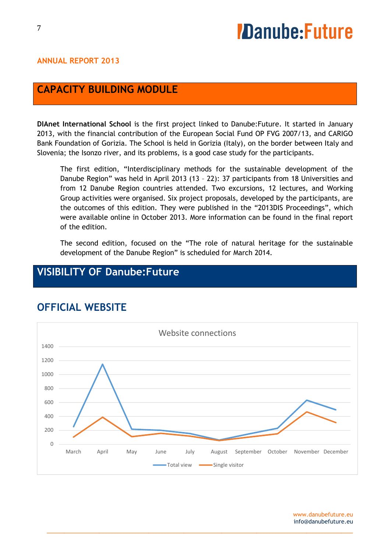#### **ANNUAL REPORT 2013**

### **CAPACITY BUILDING MODULE**

**DIAnet International School** is the first project linked to Danube:Future. It started in January 2013, with the financial contribution of the European Social Fund OP FVG 2007/13, and CARIGO Bank Foundation of Gorizia. The School is held in Gorizia (Italy), on the border between Italy and Slovenia; the Isonzo river, and its problems, is a good case study for the participants.

The first edition, "Interdisciplinary methods for the sustainable development of the Danube Region" was held in April 2013 (13 – 22): 37 participants from 18 Universities and from 12 Danube Region countries attended. Two excursions, 12 lectures, and Working Group activities were organised. Six project proposals, developed by the participants, are the outcomes of this edition. They were published in the "2013DIS Proceedings", which were available online in October 2013. More information can be found in the final report of the edition.

The second edition, focused on the "The role of natural heritage for the sustainable development of the Danube Region" is scheduled for March 2014.

# **VISIBILITY OF Danube:Future**



\_\_\_\_\_\_\_\_\_\_\_\_\_\_\_\_\_\_\_\_\_\_\_\_\_\_\_\_\_\_\_\_\_\_\_\_\_\_\_\_\_\_\_\_\_\_\_\_\_\_\_\_\_\_\_\_\_\_\_\_\_\_\_\_\_\_\_\_\_\_\_\_\_\_\_\_\_\_\_\_\_\_\_\_\_\_\_\_\_\_\_\_\_\_\_\_\_\_\_\_\_\_\_\_\_

# **OFFICIAL WEBSITE**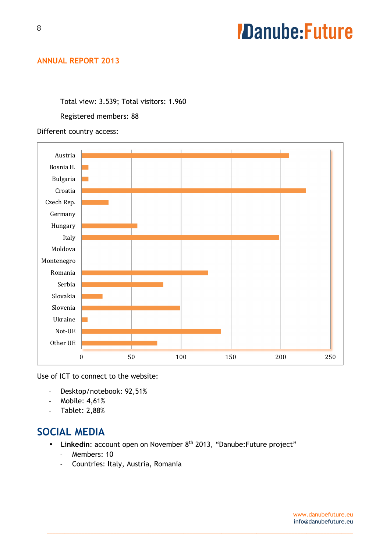#### **ANNUAL REPORT 2013**

Total view: 3.539; Total visitors: 1.960

Registered members: 88

#### Different country access:



Use of ICT to connect to the website:

- Desktop/notebook: 92,51%
- Mobile: 4,61%
- Tablet: 2,88%

### **SOCIAL MEDIA**

• Linkedin: account open on November 8<sup>th</sup> 2013, "Danube: Future project"

- Members: 10
- Countries: Italy, Austria, Romania